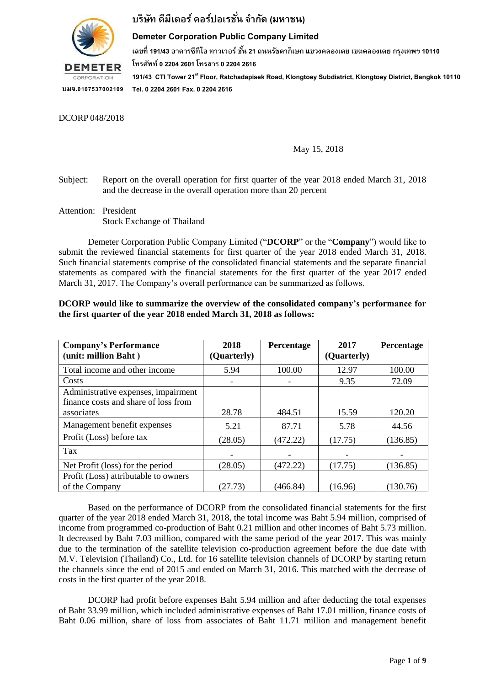

### **Demeter Corporation Public Company Limited**

**เลขที่ 191/43 อำคำรซีทีไอ ทำวเวอร์ ชั้น 21 ถนนรชัดำภิเษก แขวงคลองเตย เขตคลองเตย กรงุ เทพฯ 10110**

**โทรศัพท์ 0 2204 2601 โทรสำร 0 2204 2616**

**191/43 CTI Tower 21stFloor, Ratchadapisek Road, Klongtoey Subdistrict, Klongtoey District, Bangkok10110 Tel. 0 2204 2601 Fax. 0 2204 2616**

DCORP 048/2018

May 15, 2018

- Subject: Report on the overall operation for first quarter of the year 2018 ended March 31, 2018 and the decrease in the overall operation more than 20 percent
- Attention: President Stock Exchange of Thailand

Demeter Corporation Public Company Limited ("**DCORP**" or the "**Company**") would like to submit the reviewed financial statements for first quarter of the year 2018 ended March 31, 2018. Such financial statements comprise of the consolidated financial statements and the separate financial statements as compared with the financial statements for the first quarter of the year 2017 ended March 31, 2017. The Company's overall performance can be summarized as follows.

| <b>Company's Performance</b>         | 2018        | Percentage | 2017        | Percentage |
|--------------------------------------|-------------|------------|-------------|------------|
| (unit: million Baht)                 | (Quarterly) |            | (Quarterly) |            |
| Total income and other income        | 5.94        | 100.00     | 12.97       | 100.00     |
| Costs                                |             |            | 9.35        | 72.09      |
| Administrative expenses, impairment  |             |            |             |            |
| finance costs and share of loss from |             |            |             |            |
| associates                           | 28.78       | 484.51     | 15.59       | 120.20     |
| Management benefit expenses          | 5.21        | 87.71      | 5.78        | 44.56      |
| Profit (Loss) before tax             | (28.05)     | (472.22)   | (17.75)     | (136.85)   |
| Tax                                  |             |            |             |            |
| Net Profit (loss) for the period     | (28.05)     | (472.22)   | (17.75)     | (136.85)   |
| Profit (Loss) attributable to owners |             |            |             |            |
| of the Company                       | (27.73)     | (466.84)   | (16.96)     | (130.76)   |

#### **DCORP would like to summarize the overview of the consolidated company's performance for the first quarter of the year 2018 ended March 31, 2018 as follows:**

Based on the performance of DCORP from the consolidated financial statements for the first quarter of the year 2018 ended March 31, 2018, the total income was Baht 5.94 million, comprised of income from programmed co-production of Baht 0.21 million and other incomes of Baht 5.73 million. It decreased by Baht 7.03 million, compared with the same period of the year 2017. This was mainly due to the termination of the satellite television co-production agreement before the due date with M.V. Television (Thailand) Co., Ltd. for 16 satellite television channels of DCORP by starting return the channels since the end of 2015 and ended on March 31, 2016. This matched with the decrease of costs in the first quarter of the year 2018.

DCORP had profit before expenses Baht 5.94 million and after deducting the total expenses of Baht 33.99 million, which included administrative expenses of Baht 17.01 million, finance costs of Baht 0.06 million, share of loss from associates of Baht 11.71 million and management benefit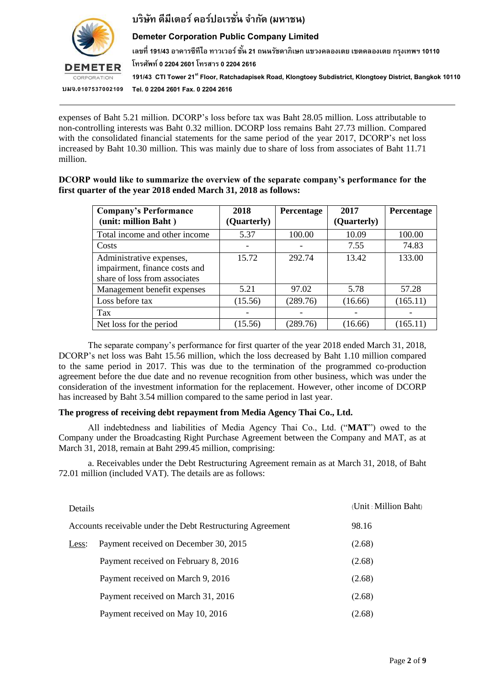

### **Demeter Corporation Public Company Limited**

**เลขที่ 191/43 อำคำรซีทีไอ ทำวเวอร์ ชั้น 21 ถนนรชัดำภิเษก แขวงคลองเตย เขตคลองเตย กรงุ เทพฯ 10110**

**โทรศัพท์ 0 2204 2601 โทรสำร 0 2204 2616**

**191/43 CTI Tower 21stFloor, Ratchadapisek Road, Klongtoey Subdistrict, Klongtoey District, Bangkok10110 Tel. 0 2204 2601 Fax. 0 2204 2616**

expenses of Baht 5.21 million. DCORP's loss before tax was Baht 28.05 million. Loss attributable to non-controlling interests was Baht 0.32 million. DCORP loss remains Baht 27.73 million. Compared with the consolidated financial statements for the same period of the year 2017, DCORP's net loss increased by Baht 10.30 million. This was mainly due to share of loss from associates of Baht 11.71 million.

#### **DCORP would like to summarize the overview of the separate company's performance for the first quarter of the year 2018 ended March 31, 2018 as follows:**

| <b>Company's Performance</b>                                                               | 2018        | Percentage | 2017        | Percentage |
|--------------------------------------------------------------------------------------------|-------------|------------|-------------|------------|
| (unit: million Baht)                                                                       | (Quarterly) |            | (Quarterly) |            |
| Total income and other income                                                              | 5.37        | 100.00     | 10.09       | 100.00     |
| Costs                                                                                      |             |            | 7.55        | 74.83      |
| Administrative expenses,<br>impairment, finance costs and<br>share of loss from associates | 15.72       | 292.74     | 13.42       | 133.00     |
| Management benefit expenses                                                                | 5.21        | 97.02      | 5.78        | 57.28      |
| Loss before tax                                                                            | (15.56)     | (289.76)   | (16.66)     | (165.11)   |
| Tax                                                                                        |             |            |             |            |
| Net loss for the period                                                                    | (15.56)     | (289.76)   | (16.66)     | (165.11)   |

The separate company's performance for first quarter of the year 2018 ended March 31, 2018, DCORP's net loss was Baht 15.56 million, which the loss decreased by Baht 1.10 million compared to the same period in 2017. This was due to the termination of the programmed co-production agreement before the due date and no revenue recognition from other business, which was under the consideration of the investment information for the replacement. However, other income of DCORP has increased by Baht 3.54 million compared to the same period in last year.

### **The progress of receiving debt repayment from Media Agency Thai Co., Ltd.**

All indebtedness and liabilities of Media Agency Thai Co., Ltd. ("**MAT**") owed to the Company under the Broadcasting Right Purchase Agreement between the Company and MAT, as at March 31, 2018, remain at Baht 299.45 million, comprising:

a. Receivables under the Debt Restructuring Agreement remain as at March 31, 2018, of Baht 72.01 million (included VAT). The details are as follows:

| Details |                                                            | (Unit: Million Baht) |
|---------|------------------------------------------------------------|----------------------|
|         | Accounts receivable under the Debt Restructuring Agreement | 98.16                |
| Less:   | Payment received on December 30, 2015                      | (2.68)               |
|         | Payment received on February 8, 2016                       | (2.68)               |
|         | Payment received on March 9, 2016                          | (2.68)               |
|         | Payment received on March 31, 2016                         | (2.68)               |
|         | Payment received on May 10, 2016                           | (2.68)               |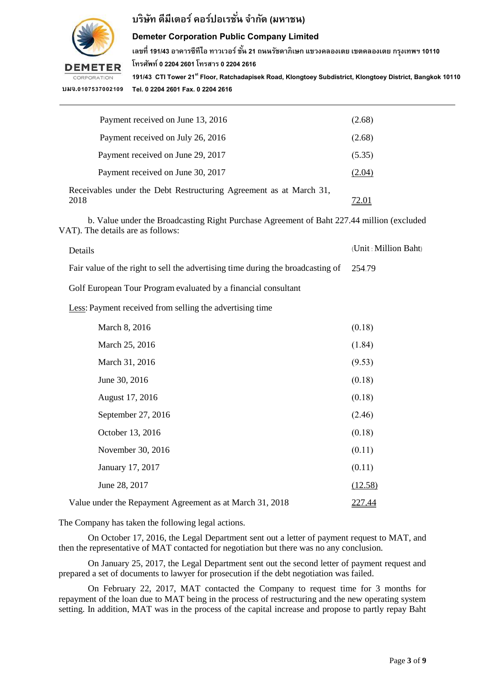

# **บริษทั ดีมีเตอร์คอรป์ อเรชนั่ จำ กดั (มหำชน)**

#### **Demeter Corporation Public Company Limited**

**เลขที่ 191/43 อำคำรซีทีไอ ทำวเวอร์ ชั้น 21 ถนนรชัดำภิเษก แขวงคลองเตย เขตคลองเตย กรงุ เทพฯ 10110 โทรศัพท์ 0 2204 2601 โทรสำร 0 2204 2616**

**191/43 CTI Tower 21stFloor, Ratchadapisek Road, Klongtoey Subdistrict, Klongtoey District, Bangkok10110 Tel. 0 2204 2601 Fax. 0 2204 2616**

| Payment received on June 13, 2016                                          | (2.68) |
|----------------------------------------------------------------------------|--------|
| Payment received on July 26, 2016                                          | (2.68) |
| Payment received on June 29, 2017                                          | (5.35) |
| Payment received on June 30, 2017                                          | (2.04) |
| Receivables under the Debt Restructuring Agreement as at March 31,<br>2018 |        |

b. Value under the Broadcasting Right Purchase Agreement of Baht 227.44 million (excluded VAT). The details are as follows:

Details (Unit : Million Baht)

Fair value of the right to sell the advertising time during the broadcasting of 254.79

Golf European Tour Program evaluated by a financial consultant

Less: Payment received from selling the advertising time

| March 8, 2016                                            | (0.18)        |
|----------------------------------------------------------|---------------|
| March 25, 2016                                           | (1.84)        |
| March 31, 2016                                           | (9.53)        |
| June 30, 2016                                            | (0.18)        |
| August 17, 2016                                          | (0.18)        |
| September 27, 2016                                       | (2.46)        |
| October 13, 2016                                         | (0.18)        |
| November 30, 2016                                        | (0.11)        |
| January 17, 2017                                         | (0.11)        |
| June 28, 2017                                            | (12.58)       |
| Value under the Repayment Agreement as at March 31, 2018 | <u>227.44</u> |

The Company has taken the following legal actions.

On October 17, 2016, the Legal Department sent out a letter of payment request to MAT, and then the representative of MAT contacted for negotiation but there was no any conclusion.

On January 25, 2017, the Legal Department sent out the second letter of payment request and prepared a set of documents to lawyer for prosecution if the debt negotiation was failed.

On February 22, 2017, MAT contacted the Company to request time for 3 months for repayment of the loan due to MAT being in the process of restructuring and the new operating system setting. In addition, MAT was in the process of the capital increase and propose to partly repay Baht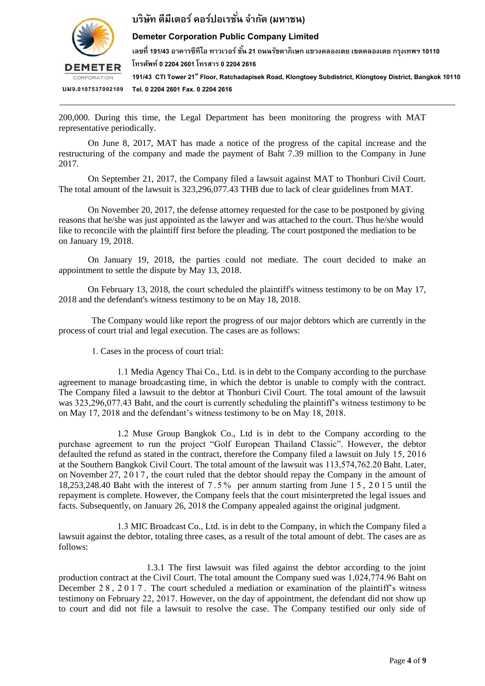

## **บริษทั ดีมีเตอร์คอรป์ อเรชนั่ จำ กดั (มหำชน)**

### **Demeter Corporation Public Company Limited**

**เลขที่ 191/43 อำคำรซีทีไอ ทำวเวอร์ ชั้น 21 ถนนรชัดำภิเษก แขวงคลองเตย เขตคลองเตย กรงุ เทพฯ 10110**

**โทรศัพท์ 0 2204 2601 โทรสำร 0 2204 2616**

**191/43 CTI Tower 21stFloor, Ratchadapisek Road, Klongtoey Subdistrict, Klongtoey District, Bangkok10110 Tel. 0 2204 2601 Fax. 0 2204 2616**

200,000. During this time, the Legal Department has been monitoring the progress with MAT representative periodically.

On June 8, 2017, MAT has made a notice of the progress of the capital increase and the restructuring of the company and made the payment of Baht 7.39 million to the Company in June 2017.

On September 21, 2017, the Company filed a lawsuit against MAT to Thonburi Civil Court. The total amount of the lawsuit is 323,296,077.43 THB due to lack of clear guidelines from MAT.

On November 20, 2017, the defense attorney requested for the case to be postponed by giving reasons that he/she was just appointed as the lawyer and was attached to the court. Thus he/she would like to reconcile with the plaintiff first before the pleading. The court postponed the mediation to be on January 19, 2018.

On January 19, 2018, the parties could not mediate. The court decided to make an appointment to settle the dispute by May 13, 2018.

 On February 13, 2018, the court scheduled the plaintiff's witness testimony to be on May 17, 2018 and the defendant's witness testimony to be on May 18, 2018.

The Company would like report the progress of our major debtors which are currently in the process of court trial and legal execution. The cases are as follows:

1. Cases in the process of court trial:

1.1 Media Agency Thai Co., Ltd. is in debt to the Company according to the purchase agreement to manage broadcasting time, in which the debtor is unable to comply with the contract. The Company filed a lawsuit to the debtor at Thonburi Civil Court. The total amount of the lawsuit was 323,296,077.43 Baht, and the court is currently scheduling the plaintiff's witness testimony to be on May 17, 2018 and the defendant's witness testimony to be on May 18, 2018.

1.2 Muse Group Bangkok Co., Ltd is in debt to the Company according to the purchase agreement to run the project "Golf European Thailand Classic". However, the debtor defaulted the refund as stated in the contract, therefore the Company filed a lawsuit on July 15, 2016 at the Southern Bangkok Civil Court. The total amount of the lawsuit was 113,574,762.20 Baht. Later, on November 27, 2017 , the court ruled that the debtor should repay the Company in the amount of 18,253,248.40 Baht with the interest of 7 .5 % per annum starting from June 1 5 , 201 5 until the repayment is complete. However, the Company feels that the court misinterpreted the legal issues and facts. Subsequently, on January 26, 2018 the Company appealed against the original judgment.

1.3 MIC Broadcast Co., Ltd. is in debt to the Company, in which the Company filed a lawsuit against the debtor, totaling three cases, as a result of the total amount of debt. The cases are as follows:

1.3.1 The first lawsuit was filed against the debtor according to the joint production contract at the Civil Court. The total amount the Company sued was 1,024,774.96 Baht on December 28, 2017. The court scheduled a mediation or examination of the plaintiff's witness testimony on February 22, 2017. However, on the day of appointment, the defendant did not show up to court and did not file a lawsuit to resolve the case. The Company testified our only side of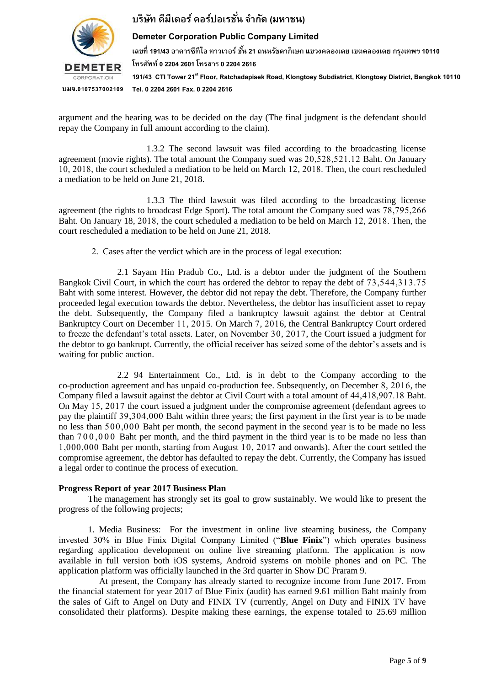

### **บริษทั ดีมีเตอร์คอรป์ อเรชนั่ จำ กดั (มหำชน)**

### **Demeter Corporation Public Company Limited**

**เลขที่ 191/43 อำคำรซีทีไอ ทำวเวอร์ ชั้น 21 ถนนรชัดำภิเษก แขวงคลองเตย เขตคลองเตย กรงุ เทพฯ 10110 โทรศัพท์ 0 2204 2601 โทรสำร 0 2204 2616**

**191/43 CTI Tower 21stFloor, Ratchadapisek Road, Klongtoey Subdistrict, Klongtoey District, Bangkok10110 Tel. 0 2204 2601 Fax. 0 2204 2616**

argument and the hearing was to be decided on the day (The final judgment is the defendant should repay the Company in full amount according to the claim).

1.3.2 The second lawsuit was filed according to the broadcasting license agreement (movie rights). The total amount the Company sued was 20,528,521.12 Baht. On January 10, 2018, the court scheduled a mediation to be held on March 12, 2018. Then, the court rescheduled a mediation to be held on June 21, 2018.

1.3.3 The third lawsuit was filed according to the broadcasting license agreement (the rights to broadcast Edge Sport). The total amount the Company sued was 78,795,266 Baht. On January 18, 2018, the court scheduled a mediation to be held on March 12, 2018. Then, the court rescheduled a mediation to be held on June 21, 2018.

2. Cases after the verdict which are in the process of legal execution:

2.1 Sayam Hin Pradub Co., Ltd. is a debtor under the judgment of the Southern Bangkok Civil Court, in which the court has ordered the debtor to repay the debt of 73,544,313.75 Baht with some interest. However, the debtor did not repay the debt. Therefore, the Company further proceeded legal execution towards the debtor. Nevertheless, the debtor has insufficient asset to repay the debt. Subsequently, the Company filed a bankruptcy lawsuit against the debtor at Central Bankruptcy Court on December 11, 2015. On March 7, 2016, the Central Bankruptcy Court ordered to freeze the defendant's total assets. Later, on November 30, 2017, the Court issued a judgment for the debtor to go bankrupt. Currently, the official receiver has seized some of the debtor's assets and is waiting for public auction.

2.2 94 Entertainment Co., Ltd. is in debt to the Company according to the co-production agreement and has unpaid co-production fee. Subsequently, on December 8, 2016, the Company filed a lawsuit against the debtor at Civil Court with a total amount of 44,418,907.18 Baht. On May 15, 2017 the court issued a judgment under the compromise agreement (defendant agrees to pay the plaintiff 39,304,000 Baht within three years; the first payment in the first year is to be made no less than 500,000 Baht per month, the second payment in the second year is to be made no less than 7 0 0 ,0 0 0 Baht per month, and the third payment in the third year is to be made no less than 1,000,000 Baht per month, starting from August 10, 2017 and onwards). After the court settled the compromise agreement, the debtor has defaulted to repay the debt. Currently, the Company has issued a legal order to continue the process of execution.

#### **Progress Report of year 2017 Business Plan**

 The management has strongly set its goal to grow sustainably. We would like to present the progress of the following projects;

1. Media Business: For the investment in online live steaming business, the Company invested 30% in Blue Finix Digital Company Limited ("**Blue Finix**") which operates business regarding application development on online live streaming platform. The application is now available in full version both iOS systems, Android systems on mobile phones and on PC. The application platform was officially launched in the 3rd quarter in Show DC Praram 9.

At present, the Company has already started to recognize income from June 2017. From the financial statement for year 2017 of Blue Finix (audit) has earned 9.61 million Baht mainly from the sales of Gift to Angel on Duty and FINIX TV (currently, Angel on Duty and FINIX TV have consolidated their platforms). Despite making these earnings, the expense totaled to 25.69 million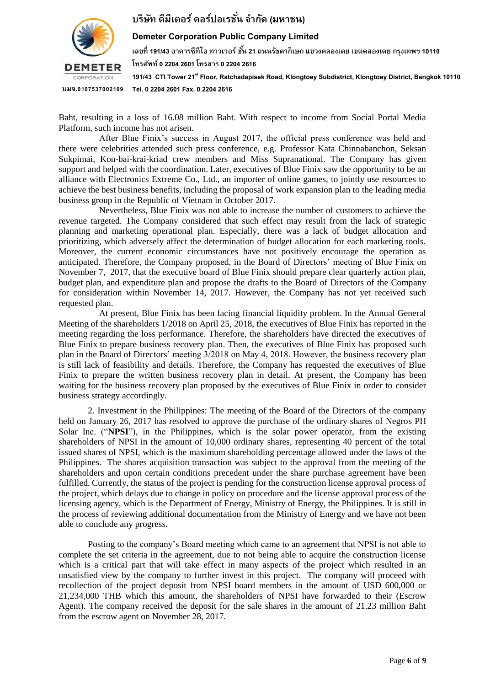

## **บริษทั ดีมีเตอร์คอรป์ อเรชนั่ จำ กดั (มหำชน)**

#### **Demeter Corporation Public Company Limited**

**เลขที่ 191/43 อำคำรซีทีไอ ทำวเวอร์ ชั้น 21 ถนนรชัดำภิเษก แขวงคลองเตย เขตคลองเตย กรงุ เทพฯ 10110**

**โทรศัพท์ 0 2204 2601 โทรสำร 0 2204 2616**

**191/43 CTI Tower 21stFloor, Ratchadapisek Road, Klongtoey Subdistrict, Klongtoey District, Bangkok10110 Tel. 0 2204 2601 Fax. 0 2204 2616**

Baht, resulting in a loss of 16.08 million Baht. With respect to income from Social Portal Media Platform, such income has not arisen.

After Blue Finix's success in August 2017, the official press conference was held and there were celebrities attended such press conference, e.g. Professor Kata Chinnabanchon, Seksan Sukpimai, Kon-bai-krai-kriad crew members and Miss Supranational. The Company has given support and helped with the coordination. Later, executives of Blue Finix saw the opportunity to be an alliance with Electronics Extreme Co., Ltd., an importer of online games, to jointly use resources to achieve the best business benefits, including the proposal of work expansion plan to the leading media business group in the Republic of Vietnam in October 2017.

Nevertheless, Blue Finix was not able to increase the number of customers to achieve the revenue targeted. The Company considered that such effect may result from the lack of strategic planning and marketing operational plan. Especially, there was a lack of budget allocation and prioritizing, which adversely affect the determination of budget allocation for each marketing tools. Moreover, the current economic circumstances have not positively encourage the operation as anticipated. Therefore, the Company proposed, in the Board of Directors' meeting of Blue Finix on November 7, 2017, that the executive board of Blue Finix should prepare clear quarterly action plan, budget plan, and expenditure plan and propose the drafts to the Board of Directors of the Company for consideration within November 14, 2017. However, the Company has not yet received such requested plan.

At present, Blue Finix has been facing financial liquidity problem. In the Annual General Meeting of the shareholders 1/2018 on April 25, 2018, the executives of Blue Finix has reported in the meeting regarding the loss performance. Therefore, the shareholders have directed the executives of Blue Finix to prepare business recovery plan. Then, the executives of Blue Finix has proposed such plan in the Board of Directors' meeting 3/2018 on May 4, 2018. However, the business recovery plan is still lack of feasibility and details. Therefore, the Company has requested the executives of Blue Finix to prepare the written business recovery plan in detail. At present, the Company has been waiting for the business recovery plan proposed by the executives of Blue Finix in order to consider business strategy accordingly.

2. Investment in the Philippines: The meeting of the Board of the Directors of the company held on January 26, 2017 has resolved to approve the purchase of the ordinary shares of Negros PH Solar Inc. ("**NPSI**"), in the Philippines, which is the solar power operator, from the existing shareholders of NPSI in the amount of 10,000 ordinary shares, representing 40 percent of the total issued shares of NPSI, which is the maximum shareholding percentage allowed under the laws of the Philippines. The shares acquisition transaction was subject to the approval from the meeting of the shareholders and upon certain conditions precedent under the share purchase agreement have been fulfilled. Currently, the status of the project is pending for the construction license approval process of the project, which delays due to change in policy on procedure and the license approval process of the licensing agency, which is the Department of Energy, Ministry of Energy, the Philippines. It is still in the process of reviewing additional documentation from the Ministry of Energy and we have not been able to conclude any progress.

Posting to the company's Board meeting which came to an agreement that NPSI is not able to complete the set criteria in the agreement, due to not being able to acquire the construction license which is a critical part that will take effect in many aspects of the project which resulted in an unsatisfied view by the company to further invest in this project. The company will proceed with recollection of the project deposit from NPSI board members in the amount of USD 600,000 or 21,234,000 THB which this amount, the shareholders of NPSI have forwarded to their (Escrow Agent). The company received the deposit for the sale shares in the amount of 21.23 million Baht from the escrow agent on November 28, 2017.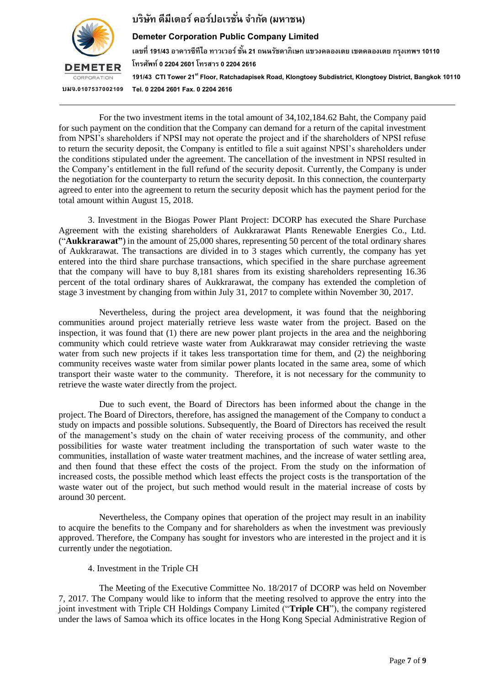

### **Demeter Corporation Public Company Limited**

**เลขที่ 191/43 อำคำรซีทีไอ ทำวเวอร์ ชั้น 21 ถนนรชัดำภิเษก แขวงคลองเตย เขตคลองเตย กรงุ เทพฯ 10110 โทรศัพท์ 0 2204 2601 โทรสำร 0 2204 2616 191/43 CTI Tower 21stFloor, Ratchadapisek Road, Klongtoey Subdistrict, Klongtoey District, Bangkok10110 Tel. 0 2204 2601 Fax. 0 2204 2616**

For the two investment items in the total amount of 34,102,184.62 Baht, the Company paid for such payment on the condition that the Company can demand for a return of the capital investment from NPSI's shareholders if NPSI may not operate the project and if the shareholders of NPSI refuse to return the security deposit, the Company is entitled to file a suit against NPSI's shareholders under the conditions stipulated under the agreement. The cancellation of the investment in NPSI resulted in the Company's entitlement in the full refund of the security deposit. Currently, the Company is under the negotiation for the counterparty to return the security deposit. In this connection, the counterparty agreed to enter into the agreement to return the security deposit which has the payment period for the total amount within August 15, 2018.

3. Investment in the Biogas Power Plant Project: DCORP has executed the Share Purchase Agreement with the existing shareholders of Aukkrarawat Plants Renewable Energies Co., Ltd. ("**Aukkrarawat"**) in the amount of 25,000 shares, representing 50 percent of the total ordinary shares of Aukkrarawat. The transactions are divided in to 3 stages which currently, the company has yet entered into the third share purchase transactions, which specified in the share purchase agreement that the company will have to buy 8,181 shares from its existing shareholders representing 16.36 percent of the total ordinary shares of Aukkrarawat, the company has extended the completion of stage 3 investment by changing from within July 31, 2017 to complete within November 30, 2017.

Nevertheless, during the project area development, it was found that the neighboring communities around project materially retrieve less waste water from the project. Based on the inspection, it was found that (1) there are new power plant projects in the area and the neighboring community which could retrieve waste water from Aukkrarawat may consider retrieving the waste water from such new projects if it takes less transportation time for them, and (2) the neighboring community receives waste water from similar power plants located in the same area, some of which transport their waste water to the community. Therefore, it is not necessary for the community to retrieve the waste water directly from the project.

Due to such event, the Board of Directors has been informed about the change in the project. The Board of Directors, therefore, has assigned the management of the Company to conduct a study on impacts and possible solutions. Subsequently, the Board of Directors has received the result of the management's study on the chain of water receiving process of the community, and other possibilities for waste water treatment including the transportation of such water waste to the communities, installation of waste water treatment machines, and the increase of water settling area, and then found that these effect the costs of the project. From the study on the information of increased costs, the possible method which least effects the project costs is the transportation of the waste water out of the project, but such method would result in the material increase of costs by around 30 percent.

Nevertheless, the Company opines that operation of the project may result in an inability to acquire the benefits to the Company and for shareholders as when the investment was previously approved. Therefore, the Company has sought for investors who are interested in the project and it is currently under the negotiation.

4. Investment in the Triple CH

The Meeting of the Executive Committee No. 18/2017 of DCORP was held on November 7, 2017. The Company would like to inform that the meeting resolved to approve the entry into the joint investment with Triple CH Holdings Company Limited ("**Triple CH**"), the company registered under the laws of Samoa which its office locates in the Hong Kong Special Administrative Region of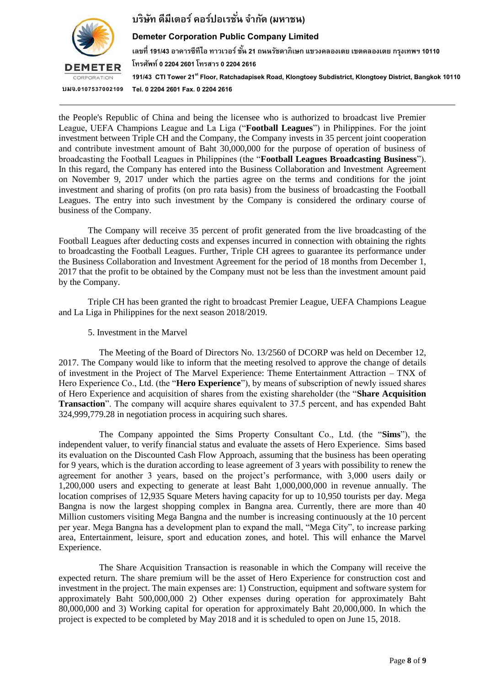

### **Demeter Corporation Public Company Limited**

**เลขที่ 191/43 อำคำรซีทีไอ ทำวเวอร์ ชั้น 21 ถนนรชัดำภิเษก แขวงคลองเตย เขตคลองเตย กรงุ เทพฯ 10110 โทรศัพท์ 0 2204 2601 โทรสำร 0 2204 2616 191/43 CTI Tower 21stFloor, Ratchadapisek Road, Klongtoey Subdistrict, Klongtoey District, Bangkok10110 Tel. 0 2204 2601 Fax. 0 2204 2616**

the People's Republic of China and being the licensee who is authorized to broadcast live Premier League, UEFA Champions League and La Liga ("**Football Leagues**") in Philippines. For the joint investment between Triple CH and the Company, the Company invests in 35 percent joint cooperation and contribute investment amount of Baht 30,000,000 for the purpose of operation of business of broadcasting the Football Leagues in Philippines (the "**Football Leagues Broadcasting Business**"). In this regard, the Company has entered into the Business Collaboration and Investment Agreement on November 9, 2017 under which the parties agree on the terms and conditions for the joint investment and sharing of profits (on pro rata basis) from the business of broadcasting the Football Leagues. The entry into such investment by the Company is considered the ordinary course of business of the Company.

The Company will receive 35 percent of profit generated from the live broadcasting of the Football Leagues after deducting costs and expenses incurred in connection with obtaining the rights to broadcasting the Football Leagues. Further, Triple CH agrees to guarantee its performance under the Business Collaboration and Investment Agreement for the period of 18 months from December 1, 2017 that the profit to be obtained by the Company must not be less than the investment amount paid by the Company.

Triple CH has been granted the right to broadcast Premier League, UEFA Champions League and La Liga in Philippines for the next season 2018/2019.

5. Investment in the Marvel

The Meeting of the Board of Directors No. 13/2560 of DCORP was held on December 12, 2017. The Company would like to inform that the meeting resolved to approve the change of details of investment in the Project of The Marvel Experience: Theme Entertainment Attraction – TNX of Hero Experience Co., Ltd. (the "**Hero Experience**"), by means of subscription of newly issued shares of Hero Experience and acquisition of shares from the existing shareholder (the "**Share Acquisition Transaction**". The company will acquire shares equivalent to 37.5 percent, and has expended Baht 324,999,779.28 in negotiation process in acquiring such shares.

The Company appointed the Sims Property Consultant Co., Ltd. (the "**Sims**"), the independent valuer, to verify financial status and evaluate the assets of Hero Experience. Sims based its evaluation on the Discounted Cash Flow Approach, assuming that the business has been operating for 9 years, which is the duration according to lease agreement of 3 years with possibility to renew the agreement for another 3 years, based on the project's performance, with 3,000 users daily or 1,200,000 users and expecting to generate at least Baht 1,000,000,000 in revenue annually. The location comprises of 12,935 Square Meters having capacity for up to 10,950 tourists per day. Mega Bangna is now the largest shopping complex in Bangna area. Currently, there are more than 40 Million customers visiting Mega Bangna and the number is increasing continuously at the 10 percent per year. Mega Bangna has a development plan to expand the mall, "Mega City", to increase parking area, Entertainment, leisure, sport and education zones, and hotel. This will enhance the Marvel Experience.

The Share Acquisition Transaction is reasonable in which the Company will receive the expected return. The share premium will be the asset of Hero Experience for construction cost and investment in the project. The main expenses are: 1) Construction, equipment and software system for approximately Baht 500,000,000 2) Other expenses during operation for approximately Baht 80,000,000 and 3) Working capital for operation for approximately Baht 20,000,000. In which the project is expected to be completed by May 2018 and it is scheduled to open on June 15, 2018.